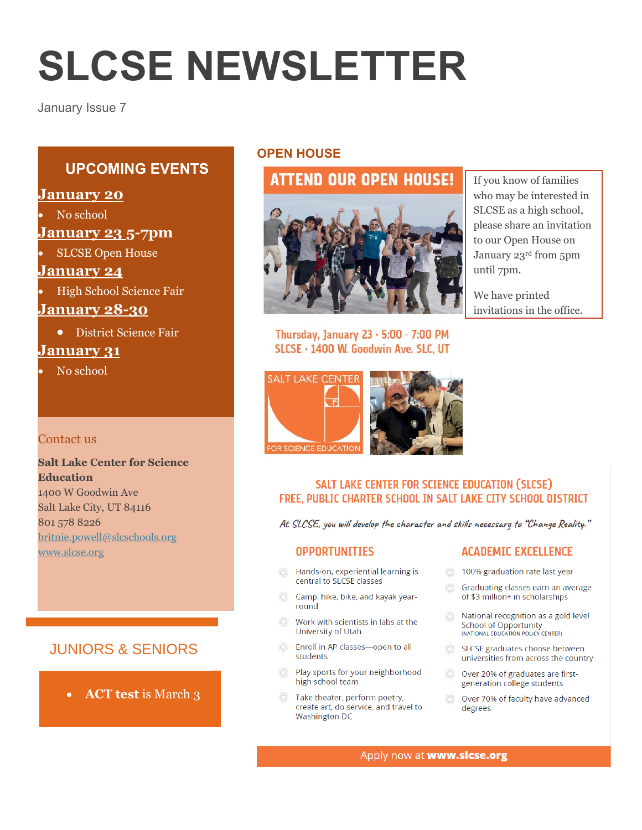# **SLCSE NEWSLETTER**

January Issue 7

# **UPCOMING EVENTS**

## **January 20**

No school

# **January 23 5-7pm**

SLCSE Open House

#### **January 24**

High School Science Fair

# **January 28-30**

District Science Fair

# **January 31**

No school

#### Contact us

#### **Salt Lake Center for Science Education** 1400 W Goodwin Ave Salt Lake City, UT 84116 801 578 8226 [britnie.powell@slcschools.org](mailto:britnie.powell@slcschools.org) [www.slcse.org](http://www.slcse.org/)

# JUNIORS & SENIORS

**ACT test** is March 3

## **OPEN HOUSE**

# **ATTEND OUR OPEN HOUSE!**



If you know of families who may be interested in SLCSE as a high school, please share an invitation to our Open House on January 23rd from 5pm until 7pm.

We have printed invitations in the office.

Thursday, January 23 - 5:00 - 7:00 PM SLCSE · 1400 W. Goodwin Ave. SLC, UT



#### SALT LAKE CENTER FOR SCIENCE EDUCATION (SLCSE) FREE. PUBLIC CHARTER SCHOOL IN SALT LAKE CITY SCHOOL DISTRICT

At SLCSE, you will develop the character and skills necessary to "Change Reality."

#### **OPPORTUNITIES**

- Hands-on, experiential learning is central to SLCSE classes
- Camp, hike, bike, and kayak yearround
- Work with scientists in labs at the University of Utah
- Enroll in AP classes-open to all students
- £ Play sports for your neighborhood high school team
- Take theater, perform poetry, create art, do service, and travel to **Washington DC**

#### **ACADEMIC EXCELLENCE**

- 100% graduation rate last year
- Graduating classes earn an average € of \$3 million+ in scholarships
- National recognition as a gold level **School of Opportunity** (NATIONAL EDUCATION POLICY CENTER)
- SLCSE graduates choose between universities from across the country
- Over 20% of graduates are first-Æ generation college students
- Over 70% of faculty have advanced æ degrees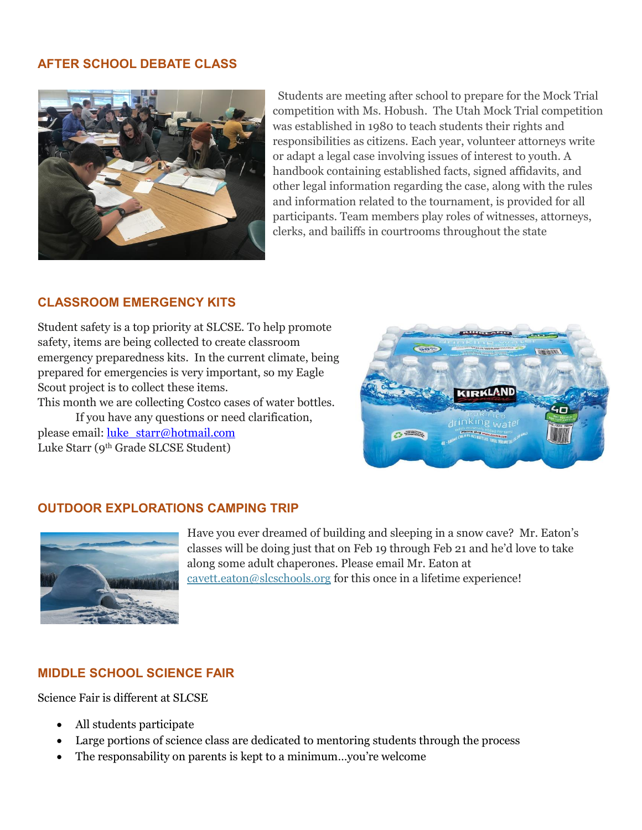#### **AFTER SCHOOL DEBATE CLASS**



Students are meeting after school to prepare for the Mock Trial competition with Ms. Hobush. The Utah Mock Trial competition was established in 1980 to teach students their rights and responsibilities as citizens. Each year, volunteer attorneys write or adapt a legal case involving issues of interest to youth. A handbook containing established facts, signed affidavits, and other legal information regarding the case, along with the rules and information related to the tournament, is provided for all participants. Team members play roles of witnesses, attorneys, clerks, and bailiffs in courtrooms throughout the state

#### **CLASSROOM EMERGENCY KITS**

Student safety is a top priority at SLCSE. To help promote safety, items are being collected to create classroom emergency preparedness kits. In the current climate, being prepared for emergencies is very important, so my Eagle Scout project is to collect these items.

This month we are collecting Costco cases of water bottles. If you have any questions or need clarification, please email: [luke\\_starr@hotmail.com](mailto:luke_starr@hotmail.com) Luke Starr (9th Grade SLCSE Student)



#### **OUTDOOR EXPLORATIONS CAMPING TRIP**



Have you ever dreamed of building and sleeping in a snow cave? Mr. Eaton's classes will be doing just that on Feb 19 through Feb 21 and he'd love to take along some adult chaperones. Please email Mr. Eaton at [cavett.eaton@slcschools.org](mailto:cavett.eaton@slcschools.org) for this once in a lifetime experience!

## **MIDDLE SCHOOL SCIENCE FAIR**

Science Fair is different at SLCSE

- All students participate
- Large portions of science class are dedicated to mentoring students through the process
- The responsability on parents is kept to a minimum…you're welcome